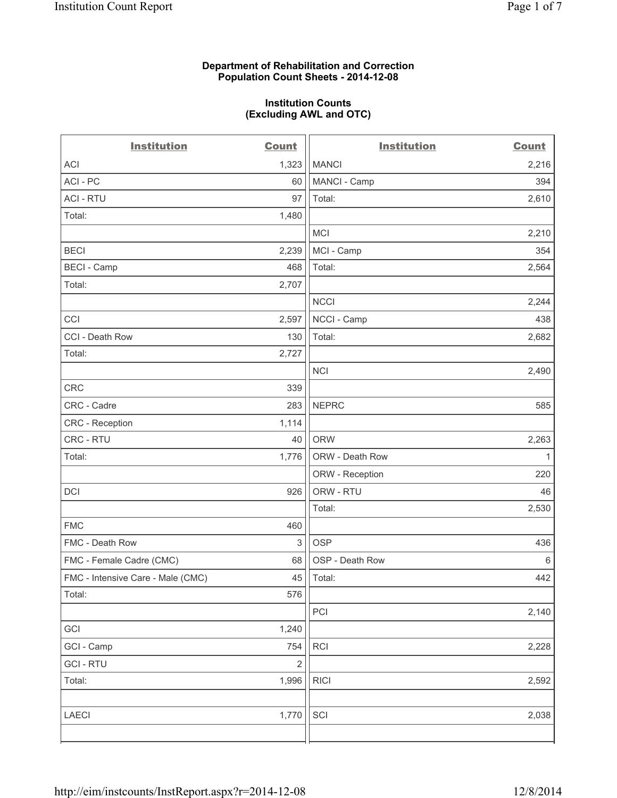### **Department of Rehabilitation and Correction Population Count Sheets - 2014-12-08**

#### **Institution Counts (Excluding AWL and OTC)**

| <b>Institution</b>                | <b>Count</b>            | <b>Institution</b> | <b>Count</b> |
|-----------------------------------|-------------------------|--------------------|--------------|
| ACI                               | 1,323                   | <b>MANCI</b>       | 2,216        |
| ACI - PC                          | 60                      | MANCI - Camp       | 394          |
| <b>ACI - RTU</b>                  | 97                      | Total:             | 2,610        |
| Total:                            | 1,480                   |                    |              |
|                                   |                         | <b>MCI</b>         | 2,210        |
| <b>BECI</b>                       | 2,239                   | MCI - Camp         | 354          |
| <b>BECI - Camp</b>                | 468                     | Total:             | 2,564        |
| Total:                            | 2,707                   |                    |              |
|                                   |                         | <b>NCCI</b>        | 2,244        |
| CCI                               | 2,597                   | NCCI - Camp        | 438          |
| CCI - Death Row                   | 130                     | Total:             | 2,682        |
| Total:                            | 2,727                   |                    |              |
|                                   |                         | <b>NCI</b>         | 2,490        |
| CRC                               | 339                     |                    |              |
| CRC - Cadre                       | 283                     | <b>NEPRC</b>       | 585          |
| CRC - Reception                   | 1,114                   |                    |              |
| CRC - RTU                         | 40                      | <b>ORW</b>         | 2,263        |
| Total:                            | 1,776                   | ORW - Death Row    | $\mathbf{1}$ |
|                                   |                         | ORW - Reception    | 220          |
| <b>DCI</b>                        | 926                     | ORW - RTU          | 46           |
|                                   |                         | Total:             | 2,530        |
| <b>FMC</b>                        | 460                     |                    |              |
| FMC - Death Row                   | 3                       | <b>OSP</b>         | 436          |
| FMC - Female Cadre (CMC)          | 68                      | OSP - Death Row    | $\,6\,$      |
| FMC - Intensive Care - Male (CMC) | 45                      | Total:             | 442          |
| Total:                            | 576                     |                    |              |
|                                   |                         | PCI                | 2,140        |
| GCI                               | 1,240                   |                    |              |
| GCI - Camp                        | 754                     | RCI                | 2,228        |
| <b>GCI-RTU</b>                    | $\overline{\mathbf{c}}$ |                    |              |
| Total:                            | 1,996                   | <b>RICI</b>        | 2,592        |
|                                   |                         |                    |              |
| LAECI                             | 1,770                   | SCI                | 2,038        |
|                                   |                         |                    |              |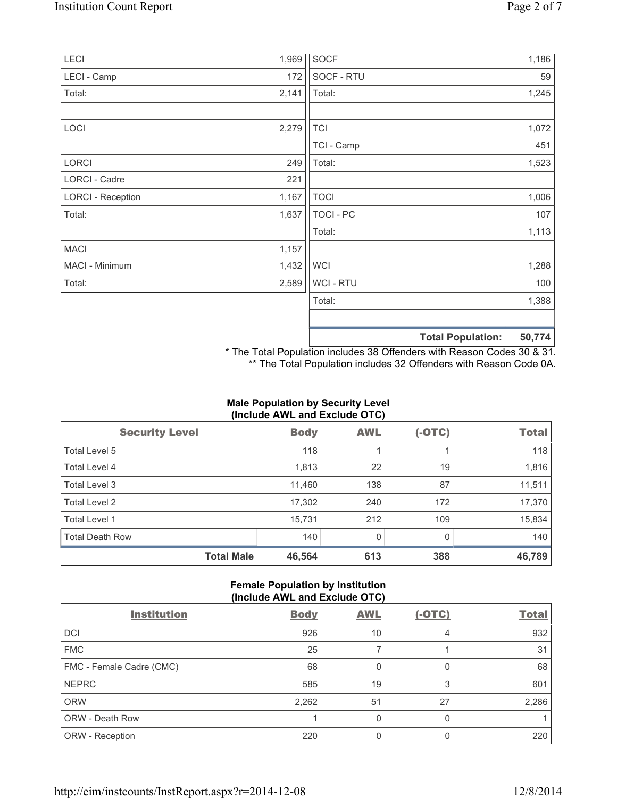| LECI                     | 1,969 | <b>SOCF</b>      |                          | 1,186  |
|--------------------------|-------|------------------|--------------------------|--------|
| LECI - Camp              | 172   | SOCF - RTU       |                          | 59     |
| Total:                   | 2,141 | Total:           |                          | 1,245  |
| LOCI                     | 2,279 | <b>TCI</b>       |                          | 1,072  |
|                          |       | TCI - Camp       |                          | 451    |
| LORCI                    | 249   | Total:           |                          | 1,523  |
| LORCI - Cadre            | 221   |                  |                          |        |
| <b>LORCI - Reception</b> | 1,167 | <b>TOCI</b>      |                          | 1,006  |
| Total:                   | 1,637 | <b>TOCI - PC</b> |                          | 107    |
|                          |       | Total:           |                          | 1,113  |
| <b>MACI</b>              | 1,157 |                  |                          |        |
| MACI - Minimum           | 1,432 | <b>WCI</b>       |                          | 1,288  |
| Total:                   | 2,589 | WCI - RTU        |                          | 100    |
|                          |       | Total:           |                          | 1,388  |
|                          |       |                  |                          |        |
|                          |       |                  | <b>Total Population:</b> | 50,774 |

\* The Total Population includes 38 Offenders with Reason Codes 30 & 31. \*\* The Total Population includes 32 Offenders with Reason Code 0A.

# **Male Population by Security Level (Include AWL and Exclude OTC)**

| <b>Security Level</b>  | <b>Body</b> | <b>AWL</b> | $(-OTC)$ | <b>Total</b> |
|------------------------|-------------|------------|----------|--------------|
| Total Level 5          | 118         |            |          | 118          |
| Total Level 4          | 1,813       | 22         | 19       | 1,816        |
| Total Level 3          | 11,460      | 138        | 87       | 11,511       |
| Total Level 2          | 17,302      | 240        | 172      | 17,370       |
| <b>Total Level 1</b>   | 15,731      | 212        | 109      | 15,834       |
| <b>Total Death Row</b> | 140         | 0          | 0        | 140          |
| <b>Total Male</b>      | 46,564      | 613        | 388      | 46,789       |

# **Female Population by Institution (Include AWL and Exclude OTC)**

| <b>Institution</b>       | <b>Body</b> | <b>AWL</b> | $(-OTC)$ | <b>Total</b> |
|--------------------------|-------------|------------|----------|--------------|
| <b>DCI</b>               | 926         | 10         | 4        | 932          |
| <b>FMC</b>               | 25          |            |          | 31           |
| FMC - Female Cadre (CMC) | 68          | 0          | 0        | 68           |
| <b>NEPRC</b>             | 585         | 19         | 3        | 601          |
| <b>ORW</b>               | 2,262       | 51         | 27       | 2,286        |
| <b>ORW - Death Row</b>   |             | 0          | 0        |              |
| ORW - Reception          | 220         |            | 0        | 220          |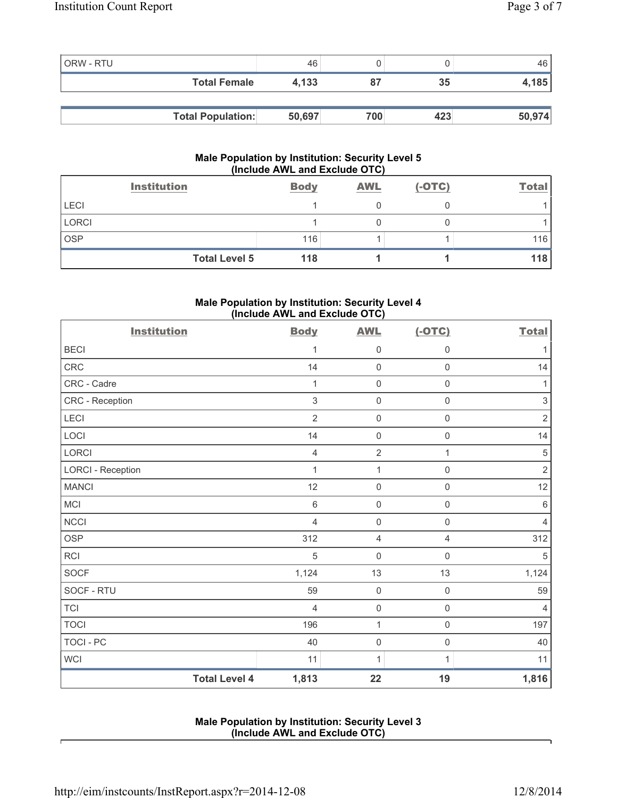| <b>ORW - RTU</b> |                          | 46     | U   |     | 46     |
|------------------|--------------------------|--------|-----|-----|--------|
|                  | <b>Total Female</b>      | 4.133  | 87  | 35  | 4,185  |
|                  |                          |        |     |     |        |
|                  | <b>Total Population:</b> | 50,697 | 700 | 423 | 50,974 |

## **Male Population by Institution: Security Level 5 (Include AWL and Exclude OTC)**

|             | <b>Institution</b>   | <b>Body</b> | <b>AWL</b> | $(-OTC)$ | <b>Total</b> |
|-------------|----------------------|-------------|------------|----------|--------------|
| <b>LECI</b> |                      |             |            |          |              |
| LORCI       |                      |             |            |          |              |
| <b>OSP</b>  |                      | 116         |            |          | 116          |
|             | <b>Total Level 5</b> | 118         |            |          | 118          |

## **Male Population by Institution: Security Level 4 (Include AWL and Exclude OTC)**

| <b>Institution</b>       |                      | <b>Body</b>    | <b>AWL</b>          | $(-OTC)$            | <b>Total</b>              |
|--------------------------|----------------------|----------------|---------------------|---------------------|---------------------------|
| <b>BECI</b>              |                      | 1              | 0                   | $\mathsf 0$         | 1                         |
| <b>CRC</b>               |                      | 14             | $\mathsf{O}\xspace$ | $\mathbf 0$         | 14                        |
| CRC - Cadre              |                      | 1              | $\mathsf{O}\xspace$ | $\mathsf{O}\xspace$ | 1                         |
| CRC - Reception          |                      | $\mathsf 3$    | $\mathsf{O}\xspace$ | $\mathsf 0$         | $\ensuremath{\mathsf{3}}$ |
| LECI                     |                      | $\overline{2}$ | $\mathsf{O}\xspace$ | $\mathsf{O}\xspace$ | $\sqrt{2}$                |
| LOCI                     |                      | 14             | 0                   | $\mathbf 0$         | 14                        |
| <b>LORCI</b>             |                      | $\overline{4}$ | $\overline{2}$      | $\mathbf{1}$        | $\,$ 5 $\,$               |
| <b>LORCI - Reception</b> |                      | 1              | $\mathbf{1}$        | $\mathsf 0$         | $\mathbf 2$               |
| <b>MANCI</b>             |                      | 12             | 0                   | $\mathsf{O}\xspace$ | 12                        |
| <b>MCI</b>               |                      | $6\,$          | $\mathsf{O}\xspace$ | $\mathbf 0$         | 6                         |
| <b>NCCI</b>              |                      | $\overline{4}$ | $\mathsf{O}\xspace$ | $\mathsf 0$         | 4                         |
| <b>OSP</b>               |                      | 312            | 4                   | $\overline{4}$      | 312                       |
| <b>RCI</b>               |                      | $\sqrt{5}$     | $\mathsf{O}\xspace$ | $\mathsf 0$         | 5                         |
| <b>SOCF</b>              |                      | 1,124          | 13                  | 13                  | 1,124                     |
| SOCF - RTU               |                      | 59             | $\mathsf{O}\xspace$ | $\mathsf 0$         | 59                        |
| <b>TCI</b>               |                      | $\overline{4}$ | $\mathsf 0$         | $\mathsf 0$         | 4                         |
| <b>TOCI</b>              |                      | 196            | $\mathbf 1$         | $\mathsf 0$         | 197                       |
| <b>TOCI - PC</b>         |                      | 40             | 0                   | $\mathsf 0$         | 40                        |
| <b>WCI</b>               |                      | 11             | $\mathbf{1}$        | $\mathbf{1}$        | 11                        |
|                          | <b>Total Level 4</b> | 1,813          | 22                  | 19                  | 1,816                     |

## **Male Population by Institution: Security Level 3 (Include AWL and Exclude OTC)**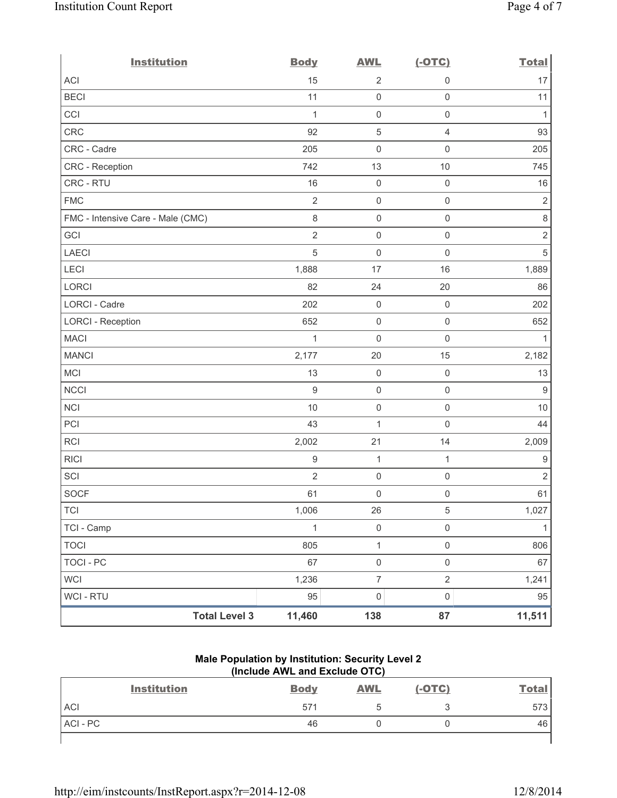| <b>Institution</b>                | <b>Body</b>      | <b>AWL</b>          | $(-OTC)$            | <b>Total</b>     |
|-----------------------------------|------------------|---------------------|---------------------|------------------|
| <b>ACI</b>                        | 15               | $\overline{2}$      | $\mathsf{O}\xspace$ | 17               |
| <b>BECI</b>                       | 11               | $\mathsf{O}\xspace$ | $\mathsf{O}\xspace$ | 11               |
| CCI                               | $\mathbf{1}$     | $\mathsf{O}\xspace$ | $\mathsf 0$         | $\mathbf{1}$     |
| CRC                               | 92               | $\mathbf 5$         | $\overline{4}$      | 93               |
| CRC - Cadre                       | 205              | $\mathsf{O}\xspace$ | $\mathsf 0$         | 205              |
| CRC - Reception                   | 742              | 13                  | 10                  | 745              |
| CRC - RTU                         | 16               | $\boldsymbol{0}$    | $\mathsf 0$         | 16               |
| <b>FMC</b>                        | $\overline{2}$   | $\mathsf{O}\xspace$ | $\mathsf 0$         | $\sqrt{2}$       |
| FMC - Intensive Care - Male (CMC) | $\,8\,$          | $\mathsf{O}\xspace$ | $\mathsf{O}\xspace$ | $\,8\,$          |
| GCI                               | $\overline{2}$   | $\mathsf{O}\xspace$ | $\mathsf 0$         | $\sqrt{2}$       |
| <b>LAECI</b>                      | $\sqrt{5}$       | $\mathsf{O}\xspace$ | $\mathsf{O}\xspace$ | $\sqrt{5}$       |
| LECI                              | 1,888            | 17                  | 16                  | 1,889            |
| <b>LORCI</b>                      | 82               | 24                  | 20                  | 86               |
| LORCI - Cadre                     | 202              | $\mathsf{O}\xspace$ | $\mathsf 0$         | 202              |
| LORCI - Reception                 | 652              | $\mathsf{O}\xspace$ | $\mathsf 0$         | 652              |
| <b>MACI</b>                       | 1                | $\mathsf{O}\xspace$ | $\mathsf{O}\xspace$ | $\mathbf{1}$     |
| <b>MANCI</b>                      | 2,177            | 20                  | 15                  | 2,182            |
| MCI                               | 13               | $\mathsf{O}\xspace$ | $\mathsf{O}\xspace$ | 13               |
| <b>NCCI</b>                       | $\overline{9}$   | $\mathsf{O}\xspace$ | $\mathsf 0$         | $\overline{9}$   |
| <b>NCI</b>                        | 10               | $\mathsf{O}\xspace$ | $\mathsf{O}\xspace$ | $10$             |
| PCI                               | 43               | $\mathbf 1$         | $\mathbf 0$         | 44               |
| RCI                               | 2,002            | 21                  | 14                  | 2,009            |
| <b>RICI</b>                       | $\boldsymbol{9}$ | $\mathbf{1}$        | $\mathbf{1}$        | $\boldsymbol{9}$ |
| SCI                               | $\overline{2}$   | $\mathsf{O}\xspace$ | $\mathsf 0$         | $\overline{2}$   |
| <b>SOCF</b>                       | 61               | $\mathbf 0$         | $\mathsf{O}\xspace$ | 61               |
| <b>TCI</b>                        | 1,006            | 26                  | 5                   | 1,027            |
| TCI - Camp                        | 1                | $\mathsf{O}\xspace$ | $\mathsf{O}\xspace$ | 1                |
| <b>TOCI</b>                       | 805              | $\mathbf 1$         | $\mathsf 0$         | 806              |
| <b>TOCI - PC</b>                  | 67               | $\mathsf{O}\xspace$ | $\mathsf{O}\xspace$ | 67               |
| <b>WCI</b>                        | 1,236            | $\overline{7}$      | $\sqrt{2}$          | 1,241            |
| WCI - RTU                         | 95               | $\pmb{0}$           | $\mathsf{O}\xspace$ | 95               |
| <b>Total Level 3</b>              | 11,460           | 138                 | 87                  | 11,511           |

## **Male Population by Institution: Security Level 2 (Include AWL and Exclude OTC)**

| <b>Institution</b> | <b>Body</b> | <b>AWL</b> | $(-OTC)$ | <b>Total</b> |
|--------------------|-------------|------------|----------|--------------|
| <b>ACI</b>         | 571         |            |          | 573          |
| ACI-PC             | 46          |            |          | 46           |
|                    |             |            |          |              |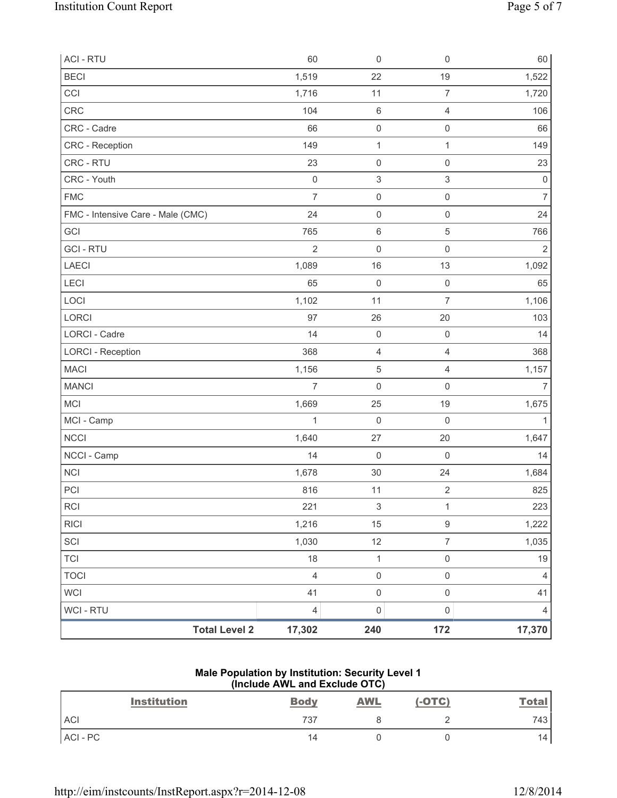| <b>ACI - RTU</b>                  | 60                  | $\mathsf{O}\xspace$       | $\mathbf 0$               | 60             |
|-----------------------------------|---------------------|---------------------------|---------------------------|----------------|
| <b>BECI</b>                       | 1,519               | 22                        | 19                        | 1,522          |
| CCI                               | 1,716               | 11                        | $\overline{7}$            | 1,720          |
| CRC                               | 104                 | $\,6\,$                   | $\overline{4}$            | 106            |
| CRC - Cadre                       | 66                  | $\mathsf{O}\xspace$       | $\mathsf 0$               | 66             |
| <b>CRC</b> - Reception            | 149                 | $\mathbf 1$               | 1                         | 149            |
| CRC - RTU                         | 23                  | $\mathsf{O}\xspace$       | $\mathsf 0$               | 23             |
| CRC - Youth                       | $\mathsf{O}\xspace$ | $\ensuremath{\mathsf{3}}$ | $\ensuremath{\mathsf{3}}$ | $\mathbf 0$    |
| <b>FMC</b>                        | $\overline{7}$      | $\mathsf 0$               | $\mathsf 0$               | $\overline{7}$ |
| FMC - Intensive Care - Male (CMC) | 24                  | $\mathsf 0$               | $\mathbf 0$               | 24             |
| GCI                               | 765                 | $\,6\,$                   | $\sqrt{5}$                | 766            |
| <b>GCI-RTU</b>                    | $\overline{2}$      | $\mathsf{O}\xspace$       | $\mathsf 0$               | $\overline{2}$ |
| <b>LAECI</b>                      | 1,089               | 16                        | 13                        | 1,092          |
| LECI                              | 65                  | $\mathsf{O}\xspace$       | $\mathsf 0$               | 65             |
| LOCI                              | 1,102               | 11                        | $\overline{7}$            | 1,106          |
| LORCI                             | 97                  | 26                        | 20                        | 103            |
| LORCI - Cadre                     | 14                  | $\mathsf{O}\xspace$       | $\mathsf 0$               | 14             |
| <b>LORCI - Reception</b>          | 368                 | 4                         | $\overline{4}$            | 368            |
| <b>MACI</b>                       | 1,156               | $\sqrt{5}$                | $\overline{4}$            | 1,157          |
| <b>MANCI</b>                      | $\overline{7}$      | $\mathbf 0$               | $\mathsf{O}\xspace$       | $\overline{7}$ |
| <b>MCI</b>                        | 1,669               | 25                        | 19                        | 1,675          |
| MCI - Camp                        | 1                   | $\mathsf 0$               | $\mathsf{O}\xspace$       | 1              |
| <b>NCCI</b>                       | 1,640               | 27                        | 20                        | 1,647          |
| NCCI - Camp                       | 14                  | $\mathsf{O}\xspace$       | $\mathsf 0$               | 14             |
| <b>NCI</b>                        | 1,678               | 30                        | 24                        | 1,684          |
| PCI                               | 816                 | 11                        | $\overline{2}$            | 825            |
| <b>RCI</b>                        | 221                 | $\ensuremath{\mathsf{3}}$ | 1                         | 223            |
| <b>RICI</b>                       | 1,216               | 15                        | $\mathsf g$               | 1,222          |
| SCI                               | 1,030               | 12                        | $\overline{7}$            | 1,035          |
| <b>TCI</b>                        | 18                  | $\mathbf 1$               | $\mathsf 0$               | 19             |
| <b>TOCI</b>                       | $\overline{4}$      | $\mathsf 0$               | $\mathsf{O}\xspace$       | $\overline{4}$ |
| <b>WCI</b>                        | 41                  | $\mathsf{O}\xspace$       | $\mathsf 0$               | 41             |
| <b>WCI - RTU</b>                  | $\overline{4}$      | $\mathsf{O}\xspace$       | $\mathsf{O}\xspace$       | 4              |
| <b>Total Level 2</b>              | 17,302              | 240                       | 172                       | 17,370         |

#### **Male Population by Institution: Security Level 1 (Include AWL and Exclude OTC)**

| <b>Institution</b> | <b>Body</b> | <b>AWL</b> | $(-OTC)$ | <b>Total</b> |
|--------------------|-------------|------------|----------|--------------|
| <b>ACI</b>         | 737         |            |          | 743          |
| ACI-PC             | 14          |            |          | 14           |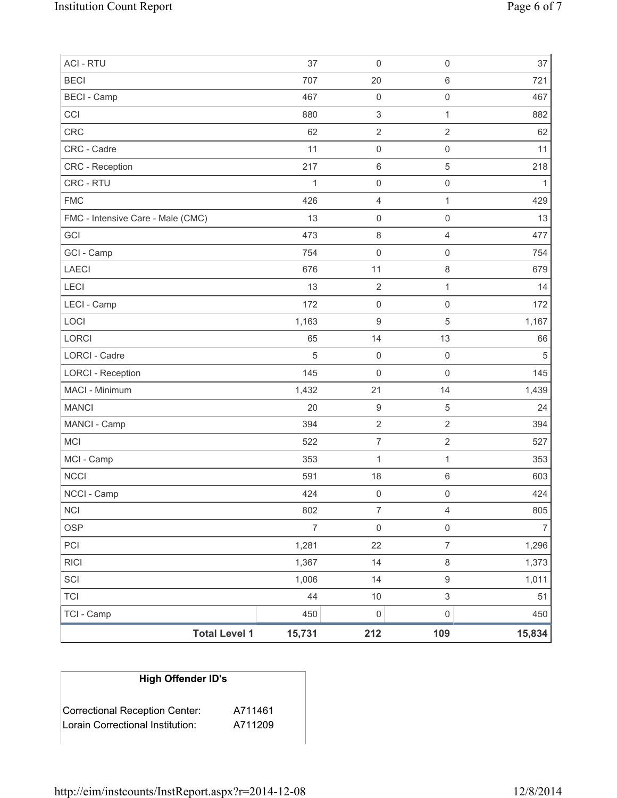| <b>ACI - RTU</b>                  | 37             | $\mathsf 0$         | $\mathsf{O}\xspace$ | 37         |
|-----------------------------------|----------------|---------------------|---------------------|------------|
| <b>BECI</b>                       | 707            | 20                  | 6                   | 721        |
| <b>BECI</b> - Camp                | 467            | $\mathbf 0$         | $\mathsf{O}\xspace$ | 467        |
| CCI                               | 880            | $\,$ 3 $\,$         | $\mathbf{1}$        | 882        |
| <b>CRC</b>                        | 62             | $\overline{2}$      | $\overline{2}$      | 62         |
| CRC - Cadre                       | 11             | $\mathbf 0$         | $\mathsf{O}\xspace$ | 11         |
| <b>CRC</b> - Reception            | 217            | $\,6\,$             | $\,$ 5 $\,$         | 218        |
| CRC - RTU                         | 1              | $\mathbf 0$         | $\mathsf 0$         | 1          |
| <b>FMC</b>                        | 426            | $\overline{4}$      | $\mathbf{1}$        | 429        |
| FMC - Intensive Care - Male (CMC) | 13             | $\mathsf 0$         | $\mathsf{O}\xspace$ | 13         |
| GCI                               | 473            | $\,8\,$             | $\overline{4}$      | 477        |
| GCI - Camp                        | 754            | $\mathbf 0$         | $\mathsf 0$         | 754        |
| <b>LAECI</b>                      | 676            | 11                  | 8                   | 679        |
| LECI                              | 13             | $\mathbf 2$         | $\mathbf{1}$        | 14         |
| LECI - Camp                       | 172            | $\mathsf{O}\xspace$ | $\mathsf{O}\xspace$ | 172        |
| LOCI                              | 1,163          | $\hbox{9}$          | 5                   | 1,167      |
| <b>LORCI</b>                      | 65             | 14                  | 13                  | 66         |
| LORCI - Cadre                     | 5              | $\mathsf{O}\xspace$ | $\mathsf{O}\xspace$ | $\sqrt{5}$ |
| <b>LORCI - Reception</b>          | 145            | $\mathbf 0$         | $\mathsf{O}\xspace$ | 145        |
| MACI - Minimum                    | 1,432          | 21                  | 14                  | 1,439      |
| <b>MANCI</b>                      | 20             | $\boldsymbol{9}$    | 5                   | 24         |
| MANCI - Camp                      | 394            | $\overline{2}$      | $\overline{2}$      | 394        |
| MCI                               | 522            | $\boldsymbol{7}$    | $\overline{2}$      | 527        |
| MCI - Camp                        | 353            | 1                   | 1                   | 353        |
| <b>NCCI</b>                       | 591            | 18                  | 6                   | 603        |
| NCCI - Camp                       | 424            | $\mathbf 0$         | 0                   | 424        |
| <b>NCI</b>                        | 802            | 7                   | 4                   | 805        |
| <b>OSP</b>                        | $\overline{7}$ | $\mathsf{O}\xspace$ | $\mathsf{O}\xspace$ | 7          |
| PCI                               | 1,281          | 22                  | $\overline{7}$      | 1,296      |
| <b>RICI</b>                       | 1,367          | 14                  | 8                   | 1,373      |
| SCI                               | 1,006          | 14                  | 9                   | 1,011      |
| <b>TCI</b>                        | 44             | $10$                | $\mathsf 3$         | 51         |
| TCI - Camp                        | 450            | $\mathsf 0$         | $\mathsf{O}\xspace$ | 450        |
| <b>Total Level 1</b>              | 15,731         | 212                 | 109                 | 15,834     |

# **High Offender ID's**

| Correctional Reception Center:   | A711461 |
|----------------------------------|---------|
| Lorain Correctional Institution: | A711209 |
|                                  |         |